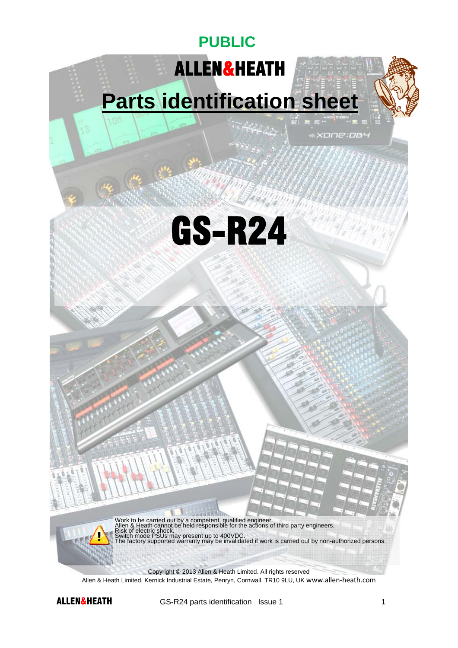# ALLEN&HEATH

**PUBLIC** 

# **Parts identification sheet**

*\*XONE:DB4* 

GS-R24



Work to be carried out by a competent, qualified engineer.<br>Allen & Heath cannot be held responsible for the actions of third party engineers.<br>Risk of electric shock.<br>Switch mode PSUs may present up to 400VDC.<br>The factory s

Copyright © 2013 Allen & Heath Limited. All rights reserved Allen & Heath Limited, Kernick Industrial Estate, Penryn, Cornwall, TR10 9LU, UK www.allen‐heath.com

**ALLEN&HEATH** GS-R24 parts identification Issue 1 1